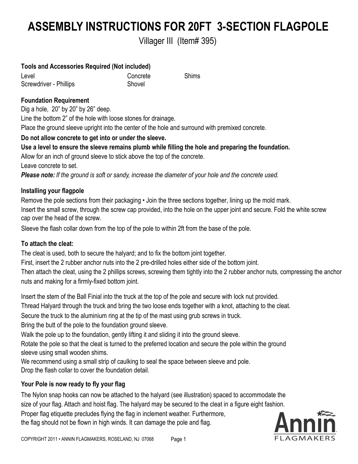# **ASSEMBLY INSTRUCTIONS FOR 20FT 3-SECTION FLAGPOLE**

Villager III (Item# 395)

#### **Tools and Accessories Required (Not included)**

Level Screwdriver - Phillips Concrete **Shovel** 

Shims

## **Foundation Requirement**

Dig a hole, 20" by 20" by 26" deep.

Line the bottom 2" of the hole with loose stones for drainage.

Place the ground sleeve upright into the center of the hole and surround with premixed concrete.

## **Do not allow concrete to get into or under the sleeve.**

## **Use a level to ensure the sleeve remains plumb while filling the hole and preparing the foundation.**

Allow for an inch of ground sleeve to stick above the top of the concrete.

Leave concrete to set.

*Please note: If the ground is soft or sandy, increase the diameter of your hole and the concrete used.*

## **Installing your flagpole**

Remove the pole sections from their packaging • Join the three sections together, lining up the mold mark. Insert the small screw, through the screw cap provided, into the hole on the upper joint and secure. Fold the white screw cap over the head of the screw.

Sleeve the flash collar down from the top of the pole to within 2ft from the base of the pole.

## **To attach the cleat:**

The cleat is used, both to secure the halyard; and to fix the bottom joint together.

First, insert the 2 rubber anchor nuts into the 2 pre-drilled holes either side of the bottom joint.

Then attach the cleat, using the 2 phillips screws, screwing them tightly into the 2 rubber anchor nuts, compressing the anchor nuts and making for a firmly-fixed bottom joint.

Insert the stem of the Ball Finial into the truck at the top of the pole and secure with lock nut provided.

Thread Halyard through the truck and bring the two loose ends together with a knot, attaching to the cleat.

Secure the truck to the aluminium ring at the tip of the mast using grub screws in truck.

Bring the butt of the pole to the foundation ground sleeve.

Walk the pole up to the foundation, gently lifting it and sliding it into the ground sleeve.

Rotate the pole so that the cleat is turned to the preferred location and secure the pole within the ground sleeve using small wooden shims.

We recommend using a small strip of caulking to seal the space between sleeve and pole. Drop the flash collar to cover the foundation detail.

## **Your Pole is now ready to fly your flag**

The Nylon snap hooks can now be attached to the halyard (see illustration) spaced to accommodate the size of your flag. Attach and hoist flag. The halyard may be secured to the cleat in a figure eight fashion. Proper flag etiquette precludes flying the flag in inclement weather. Furthermore, the flag should not be flown in high winds. It can damage the pole and flag.